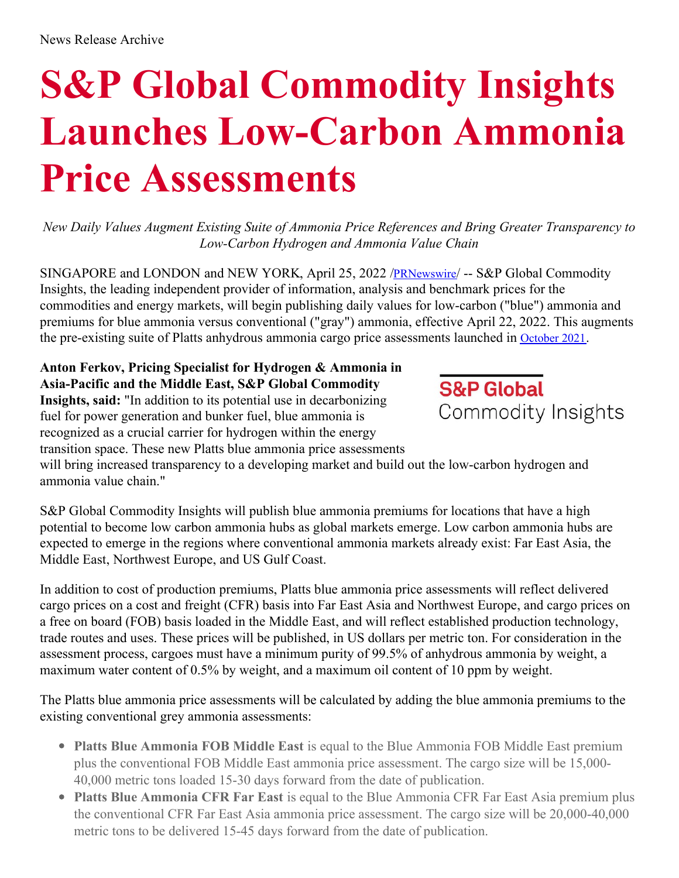## **S&P Global Commodity Insights Launches Low-Carbon Ammonia Price Assessments**

*New Daily Values Augment Existing Suite of Ammonia Price References and Bring Greater Transparency to Low-Carbon Hydrogen and Ammonia Value Chain*

SINGAPORE and LONDON and NEW YORK, April 25, 2022 /**[PRNewswire](http://www.prnewswire.com/)/ -- S&P** Global Commodity Insights, the leading independent provider of information, analysis and benchmark prices for the commodities and energy markets, will begin publishing daily values for low-carbon ("blue") ammonia and premiums for blue ammonia versus conventional ("gray") ammonia, effective April 22, 2022. This augments the pre-existing suite of Platts anhydrous ammonia cargo price assessments launched in [October](https://c212.net/c/link/?t=0&l=en&o=3514464-1&h=768010617&u=https%3A%2F%2Fwww.spglobal.com%2Fcommodityinsights%2Fen%2Fabout-commodityinsights%2Fmedia-center%2Fpress-releases%2F2021%2F101321-platts-launches-ammonia-cargo-price-assessments&a=October+2021) 2021.

**Anton Ferkov, Pricing Specialist for Hydrogen & Ammonia in Asia-Pacific and the Middle East, S&P Global Commodity Insights, said:** "In addition to its potential use in decarbonizing fuel for power generation and bunker fuel, blue ammonia is recognized as a crucial carrier for hydrogen within the energy transition space. These new Platts blue ammonia price assessments



will bring increased transparency to a developing market and build out the low-carbon hydrogen and ammonia value chain."

S&P Global Commodity Insights will publish blue ammonia premiums for locations that have a high potential to become low carbon ammonia hubs as global markets emerge. Low carbon ammonia hubs are expected to emerge in the regions where conventional ammonia markets already exist: Far East Asia, the Middle East, Northwest Europe, and US Gulf Coast.

In addition to cost of production premiums, Platts blue ammonia price assessments will reflect delivered cargo prices on a cost and freight (CFR) basis into Far East Asia and Northwest Europe, and cargo prices on a free on board (FOB) basis loaded in the Middle East, and will reflect established production technology, trade routes and uses. These prices will be published, in US dollars per metric ton. For consideration in the assessment process, cargoes must have a minimum purity of 99.5% of anhydrous ammonia by weight, a maximum water content of 0.5% by weight, and a maximum oil content of 10 ppm by weight.

The Platts blue ammonia price assessments will be calculated by adding the blue ammonia premiums to the existing conventional grey ammonia assessments:

- **Platts Blue Ammonia FOB Middle East** is equal to the Blue Ammonia FOB Middle East premium plus the conventional FOB Middle East ammonia price assessment. The cargo size will be 15,000- 40,000 metric tons loaded 15-30 days forward from the date of publication.
- **Platts Blue Ammonia CFR Far East** is equal to the Blue Ammonia CFR Far East Asia premium plus the conventional CFR Far East Asia ammonia price assessment. The cargo size will be 20,000-40,000 metric tons to be delivered 15-45 days forward from the date of publication.